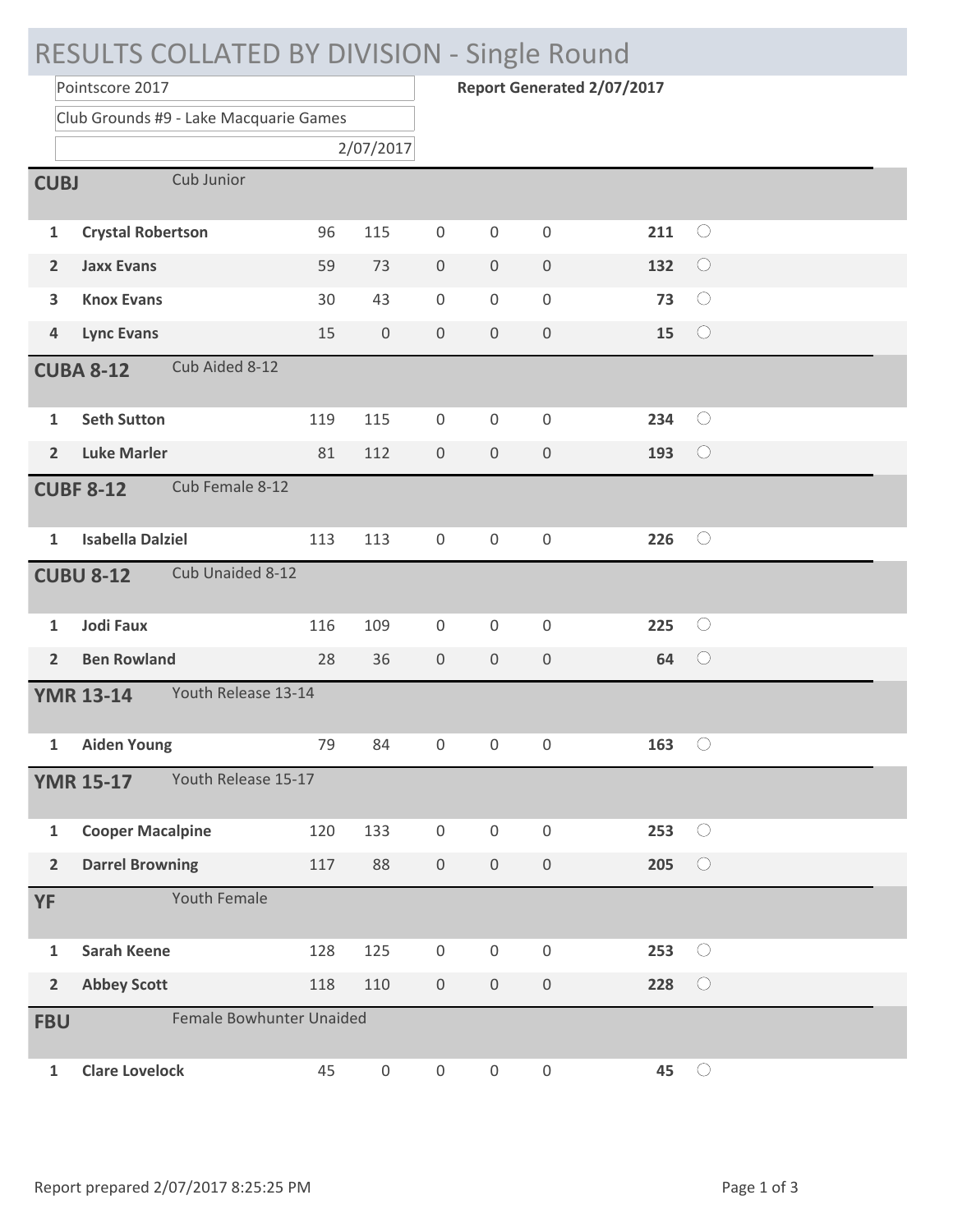| RESULTS COLLATED BY DIVISION - Single Round |                                         |                          |                  |                  |                                   |                  |     |            |  |  |
|---------------------------------------------|-----------------------------------------|--------------------------|------------------|------------------|-----------------------------------|------------------|-----|------------|--|--|
|                                             | Pointscore 2017                         |                          |                  |                  | <b>Report Generated 2/07/2017</b> |                  |     |            |  |  |
|                                             | Club Grounds #9 - Lake Macquarie Games  |                          |                  |                  |                                   |                  |     |            |  |  |
|                                             | 2/07/2017                               |                          |                  |                  |                                   |                  |     |            |  |  |
| Cub Junior<br><b>CUBJ</b>                   |                                         |                          |                  |                  |                                   |                  |     |            |  |  |
| 1                                           | <b>Crystal Robertson</b>                | 96                       | 115              | $\boldsymbol{0}$ | $\boldsymbol{0}$                  | 0                | 211 | $\bigcirc$ |  |  |
| 2                                           | <b>Jaxx Evans</b>                       | 59                       | 73               | $\boldsymbol{0}$ | $\boldsymbol{0}$                  | 0                | 132 | $\bigcirc$ |  |  |
| 3                                           | <b>Knox Evans</b>                       | 30                       | 43               | $\boldsymbol{0}$ | $\boldsymbol{0}$                  | 0                | 73  | $\bigcirc$ |  |  |
| $\overline{\mathbf{4}}$                     | <b>Lync Evans</b>                       | 15                       | $\boldsymbol{0}$ | $\boldsymbol{0}$ | $\boldsymbol{0}$                  | 0                | 15  | $\bigcirc$ |  |  |
| Cub Aided 8-12<br><b>CUBA 8-12</b>          |                                         |                          |                  |                  |                                   |                  |     |            |  |  |
| 1                                           | <b>Seth Sutton</b>                      | 119                      | 115              | 0                | $\boldsymbol{0}$                  | 0                | 234 | $\bigcirc$ |  |  |
| $\overline{2}$                              | <b>Luke Marler</b>                      | 81                       | 112              | $\boldsymbol{0}$ | $\boldsymbol{0}$                  | 0                | 193 | $\bigcirc$ |  |  |
|                                             | Cub Female 8-12<br><b>CUBF 8-12</b>     |                          |                  |                  |                                   |                  |     |            |  |  |
| 1                                           | <b>Isabella Dalziel</b>                 | 113                      | 113              | $\boldsymbol{0}$ | $\boldsymbol{0}$                  | 0                | 226 | $\bigcirc$ |  |  |
| Cub Unaided 8-12<br><b>CUBU 8-12</b>        |                                         |                          |                  |                  |                                   |                  |     |            |  |  |
|                                             |                                         |                          |                  |                  |                                   |                  |     |            |  |  |
| 1                                           | <b>Jodi Faux</b>                        | 116                      | 109              | $\mathbf 0$      | $\boldsymbol{0}$                  | 0                | 225 | $\bigcirc$ |  |  |
| $\overline{2}$                              | <b>Ben Rowland</b>                      | 28                       | 36               | $\boldsymbol{0}$ | $\boldsymbol{0}$                  | 0                | 64  | $\bigcirc$ |  |  |
|                                             | Youth Release 13-14<br><b>YMR 13-14</b> |                          |                  |                  |                                   |                  |     |            |  |  |
| 1                                           | <b>Aiden Young</b>                      | 79                       | 84               | 0                | $\boldsymbol{0}$                  | 0                | 163 | $\bigcirc$ |  |  |
|                                             | Youth Release 15-17<br><b>YMR 15-17</b> |                          |                  |                  |                                   |                  |     |            |  |  |
| $\mathbf{1}$                                | <b>Cooper Macalpine</b>                 | 120                      | 133              | $\boldsymbol{0}$ | $\boldsymbol{0}$                  | 0                | 253 | $\bigcirc$ |  |  |
| $\overline{\mathbf{2}}$                     | <b>Darrel Browning</b>                  | 117                      | 88               | $\overline{0}$   | $\boldsymbol{0}$                  | $\boldsymbol{0}$ | 205 | $\bigcirc$ |  |  |
| YF                                          | Youth Female                            |                          |                  |                  |                                   |                  |     |            |  |  |
| $\mathbf{1}$                                | <b>Sarah Keene</b>                      | 128                      | 125              | $\boldsymbol{0}$ | $\boldsymbol{0}$                  | 0                | 253 | $\bigcirc$ |  |  |
| $\overline{\mathbf{2}}$                     | <b>Abbey Scott</b>                      | 118                      | 110              | $\boldsymbol{0}$ | $\boldsymbol{0}$                  | 0                | 228 | $\bigcirc$ |  |  |
| <b>FBU</b>                                  |                                         | Female Bowhunter Unaided |                  |                  |                                   |                  |     |            |  |  |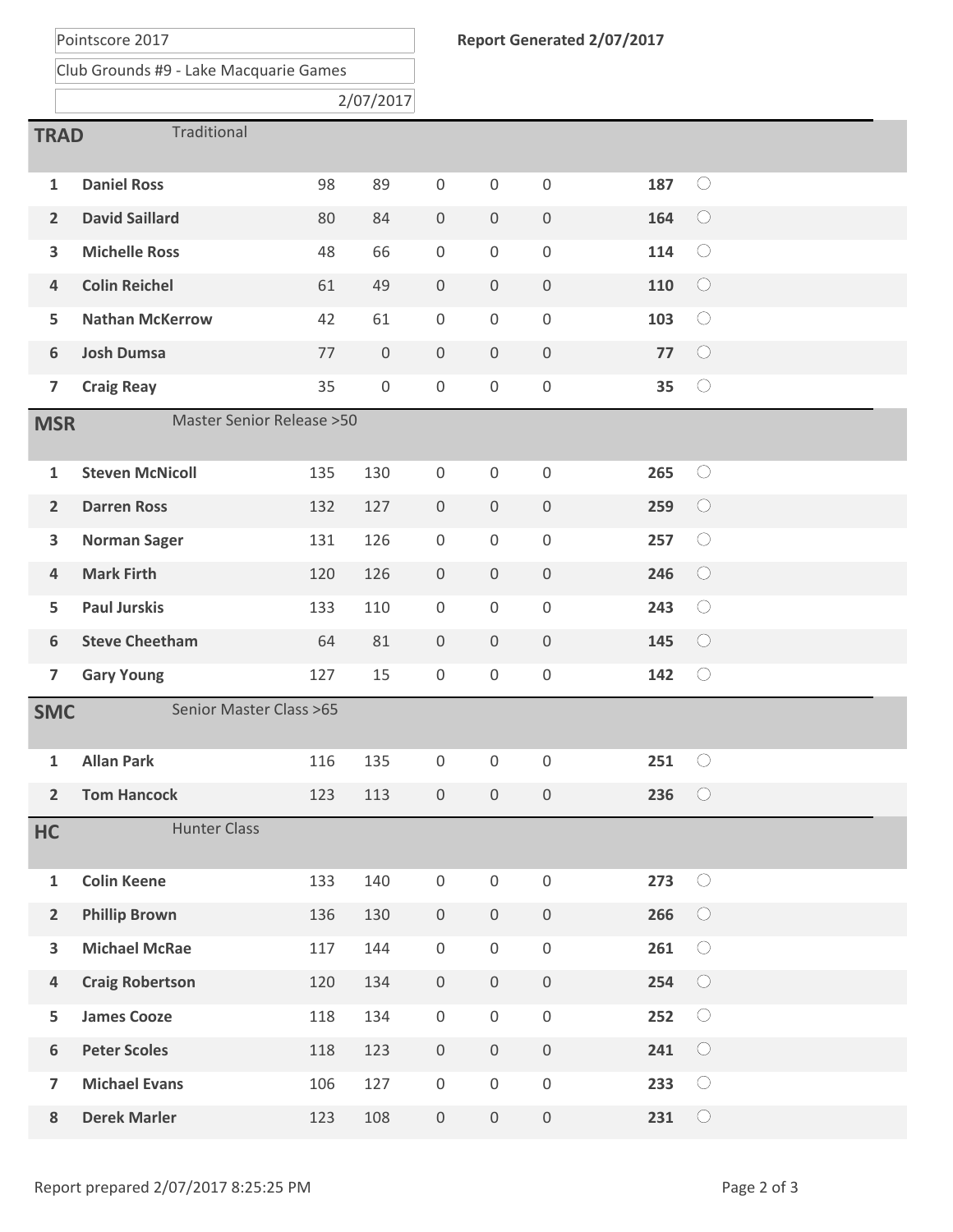Pointscore 2017

Club Grounds #9 - Lake Macquarie Games

| 2/07/2017                                          |                        |     |     |                     |                  |                  |     |            |  |
|----------------------------------------------------|------------------------|-----|-----|---------------------|------------------|------------------|-----|------------|--|
| Traditional<br><b>TRAD</b>                         |                        |     |     |                     |                  |                  |     |            |  |
| $\mathbf{1}$                                       | <b>Daniel Ross</b>     | 98  | 89  | $\mathbf 0$         | $\boldsymbol{0}$ | $\mathbf 0$      | 187 | $\bigcirc$ |  |
| $\overline{2}$                                     | <b>David Saillard</b>  | 80  | 84  | $\boldsymbol{0}$    | $\boldsymbol{0}$ | $\boldsymbol{0}$ | 164 | $\bigcirc$ |  |
| 3                                                  | <b>Michelle Ross</b>   | 48  | 66  | $\boldsymbol{0}$    | $\boldsymbol{0}$ | $\boldsymbol{0}$ | 114 | $\bigcirc$ |  |
| $\overline{4}$                                     | <b>Colin Reichel</b>   | 61  | 49  | $\boldsymbol{0}$    | $\boldsymbol{0}$ | $\boldsymbol{0}$ | 110 | $\bigcirc$ |  |
| 5                                                  | <b>Nathan McKerrow</b> | 42  | 61  | $\boldsymbol{0}$    | $\boldsymbol{0}$ | $\boldsymbol{0}$ | 103 | $\bigcirc$ |  |
| 6                                                  | <b>Josh Dumsa</b>      | 77  | 0   | $\boldsymbol{0}$    | $\boldsymbol{0}$ | $\boldsymbol{0}$ | 77  | $\bigcirc$ |  |
| $\overline{7}$                                     | <b>Craig Reay</b>      | 35  | 0   | $\boldsymbol{0}$    | $\boldsymbol{0}$ | $\boldsymbol{0}$ | 35  | $\bigcirc$ |  |
| <b>Master Senior Release &gt; 50</b><br><b>MSR</b> |                        |     |     |                     |                  |                  |     |            |  |
| $\mathbf{1}$                                       | <b>Steven McNicoll</b> | 135 | 130 | $\boldsymbol{0}$    | $\boldsymbol{0}$ | $\mathbf 0$      | 265 | $\bigcirc$ |  |
| $\overline{2}$                                     | <b>Darren Ross</b>     | 132 | 127 | $\boldsymbol{0}$    | $\boldsymbol{0}$ | $\boldsymbol{0}$ | 259 | $\bigcirc$ |  |
| 3                                                  | <b>Norman Sager</b>    | 131 | 126 | $\boldsymbol{0}$    | $\boldsymbol{0}$ | $\boldsymbol{0}$ | 257 | $\bigcirc$ |  |
| $\overline{4}$                                     | <b>Mark Firth</b>      | 120 | 126 | $\boldsymbol{0}$    | $\boldsymbol{0}$ | $\boldsymbol{0}$ | 246 | $\bigcirc$ |  |
| 5                                                  | <b>Paul Jurskis</b>    | 133 | 110 | $\boldsymbol{0}$    | $\boldsymbol{0}$ | $\boldsymbol{0}$ | 243 | $\bigcirc$ |  |
| 6                                                  | <b>Steve Cheetham</b>  | 64  | 81  | $\mathbf 0$         | $\overline{0}$   | $\boldsymbol{0}$ | 145 | $\bigcirc$ |  |
| $\overline{7}$                                     | <b>Gary Young</b>      | 127 | 15  | $\boldsymbol{0}$    | $\boldsymbol{0}$ | $\boldsymbol{0}$ | 142 | $\bigcirc$ |  |
| Senior Master Class >65<br><b>SMC</b>              |                        |     |     |                     |                  |                  |     |            |  |
| 1                                                  | <b>Allan Park</b>      | 116 | 135 | $\mathbf 0$         | 0                | $\mathbf 0$      | 251 | $\bigcirc$ |  |
| $\overline{2}$                                     | <b>Tom Hancock</b>     | 123 | 113 | $\boldsymbol{0}$    | $\mathbf 0$      | $\mathbf 0$      | 236 | $\bigcirc$ |  |
| HC                                                 | <b>Hunter Class</b>    |     |     |                     |                  |                  |     |            |  |
| $\mathbf 1$                                        | <b>Colin Keene</b>     | 133 | 140 | $\boldsymbol{0}$    | $\boldsymbol{0}$ | $\boldsymbol{0}$ | 273 | $\bigcirc$ |  |
| $\overline{2}$                                     | <b>Phillip Brown</b>   | 136 | 130 | $\boldsymbol{0}$    | $\mathbf 0$      | $\boldsymbol{0}$ | 266 | $\bigcirc$ |  |
| 3                                                  | <b>Michael McRae</b>   | 117 | 144 | $\boldsymbol{0}$    | $\,0\,$          | $\boldsymbol{0}$ | 261 | $\bigcirc$ |  |
| 4                                                  | <b>Craig Robertson</b> | 120 | 134 | $\boldsymbol{0}$    | $\mathbf 0$      | $\boldsymbol{0}$ | 254 | $\bigcirc$ |  |
| 5                                                  | <b>James Cooze</b>     | 118 | 134 | $\boldsymbol{0}$    | $\boldsymbol{0}$ | $\boldsymbol{0}$ | 252 | $\bigcirc$ |  |
| $\boldsymbol{6}$                                   | <b>Peter Scoles</b>    | 118 | 123 | $\boldsymbol{0}$    | $\boldsymbol{0}$ | $\boldsymbol{0}$ | 241 | $\bigcirc$ |  |
| $\overline{7}$                                     | <b>Michael Evans</b>   | 106 | 127 | $\mathsf{O}\xspace$ | $\boldsymbol{0}$ | $\boldsymbol{0}$ | 233 | $\bigcirc$ |  |
| ${\bf 8}$                                          | <b>Derek Marler</b>    | 123 | 108 | $\mathsf{O}\xspace$ | $\boldsymbol{0}$ | $\,0\,$          | 231 | $\bigcirc$ |  |